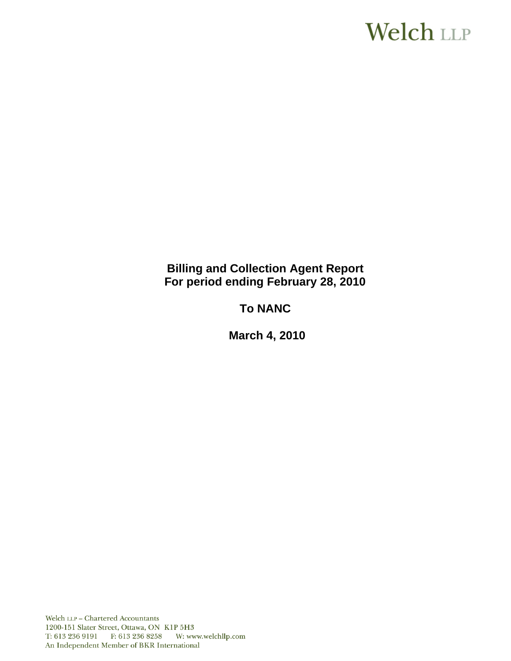# **Welch LLP**

# **Billing and Collection Agent Report For period ending February 28, 2010**

# **To NANC**

 **March 4, 2010**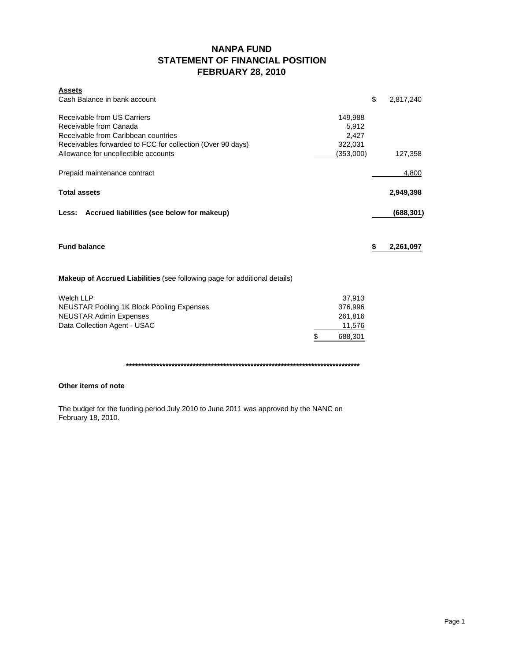## **NANPA FUND STATEMENT OF FINANCIAL POSITION FEBRUARY 28, 2010**

| <b>Assets</b>                                                             |               |                 |
|---------------------------------------------------------------------------|---------------|-----------------|
| Cash Balance in bank account                                              |               | \$<br>2,817,240 |
| Receivable from US Carriers                                               | 149,988       |                 |
| Receivable from Canada                                                    | 5,912         |                 |
| Receivable from Caribbean countries                                       | 2,427         |                 |
| Receivables forwarded to FCC for collection (Over 90 days)                | 322,031       |                 |
| Allowance for uncollectible accounts                                      | (353,000)     | 127,358         |
| Prepaid maintenance contract                                              |               | 4,800           |
| <b>Total assets</b>                                                       |               | 2,949,398       |
| Less: Accrued liabilities (see below for makeup)                          |               | (688,301)       |
| <b>Fund balance</b>                                                       |               | \$<br>2,261,097 |
| Makeup of Accrued Liabilities (see following page for additional details) |               |                 |
| <b>Welch LLP</b>                                                          | 37,913        |                 |
| <b>NEUSTAR Pooling 1K Block Pooling Expenses</b>                          | 376,996       |                 |
| <b>NEUSTAR Admin Expenses</b>                                             | 261,816       |                 |
| Data Collection Agent - USAC                                              | 11,576        |                 |
|                                                                           | \$<br>688,301 |                 |

**\*\*\*\*\*\*\*\*\*\*\*\*\*\*\*\*\*\*\*\*\*\*\*\*\*\*\*\*\*\*\*\*\*\*\*\*\*\*\*\*\*\*\*\*\*\*\*\*\*\*\*\*\*\*\*\*\*\*\*\*\*\*\*\*\*\*\*\*\*\*\*\*\*\*\*\*\***

### **Other items of note**

The budget for the funding period July 2010 to June 2011 was approved by the NANC on February 18, 2010.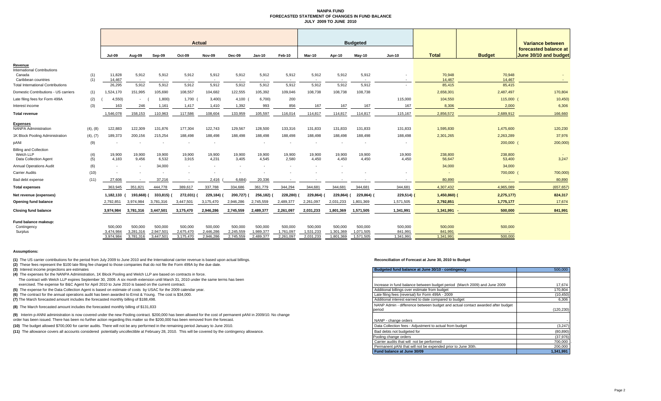#### **NANPA FUND FORECASTED STATEMENT OF CHANGES IN FUND BALANCEJULY 2009 TO JUNE 2010**

|                                                                     |            |                      |                      |                      |                      | <b>Actual</b>        |                      |                      |                      |                      |                      | <b>Budgeted</b>      |                    |                    |                   | <b>Variance between</b>                        |
|---------------------------------------------------------------------|------------|----------------------|----------------------|----------------------|----------------------|----------------------|----------------------|----------------------|----------------------|----------------------|----------------------|----------------------|--------------------|--------------------|-------------------|------------------------------------------------|
|                                                                     |            | <b>Jul-09</b>        | Aug-09               | Sep-09               | Oct-09               | Nov-09               | <b>Dec-09</b>        | <b>Jan-10</b>        | Feb-10               | Mar-10               | Apr-10               | $May-10$             | <b>Jun-10</b>      | <b>Total</b>       | <b>Budget</b>     | forecasted balance at<br>June 30/10 and budget |
| Revenue                                                             |            |                      |                      |                      |                      |                      |                      |                      |                      |                      |                      |                      |                    |                    |                   |                                                |
| <b>International Contributions</b><br>Canada<br>Caribbean countries | (1)<br>(1) | 11,828<br>14,467     | 5,912<br>$\sim$      | 5,912<br>$\sim$      | 5,912<br>$\sim$      | 5,912<br>$\sim$      | 5,912<br>$\sim$ $-$  | 5,912<br>$\sim$      | 5,912<br>$\sim$      | 5,912<br>$\sim$      | 5,912<br>$\sim$      | 5,912<br>$\sim$      | $\sim$             | 70,948<br>14,467   | 70,948<br>14.467  |                                                |
| <b>Total International Contributions</b>                            |            | 26,295               | 5,912                | 5,912                | 5,912                | 5,912                | 5,912                | 5,912                | 5,912                | 5,912                | 5,912                | 5,912                |                    | 85,415             | 85,415            |                                                |
| Domestic Contributions - US carriers                                | (1)        | 1,524,170            | 151,995              | 105,690              | 108,557              | 104,682              | 122,555              | 105,392              | 109,046              | 108,738              | 108,738              | 108,738              |                    | 2,658,301          | 2,487,497         | 170,804                                        |
| Late filing fees for Form 499A                                      | (2)        | 4.550                | $\sim$               | 1,800)               | 1,700                | 3,400                | 4,100                | 6,700)               | 200                  |                      |                      |                      | 115,000            | 104,550            | 115,000 (         | 10,450                                         |
| Interest income                                                     | (3)        | 163                  | 246                  | 1,161                | 1,417                | 1,410                | 1,392                | 993                  | 856                  | 167                  | 167                  | 167                  | 167                | 8,306              | 2,000             | 6,306                                          |
| <b>Total revenue</b>                                                |            | 1,546,078            | 158,153              | 110,963              | 117,586              | 108,604              | 133,959              | 105,597              | 116.014              | 114,817              | 114,817              | 114,817              | 115,167            | 2,856,572          | 2,689,912         | 166,660                                        |
| <b>Expenses</b><br><b>NANPA Administration</b>                      | (4), (8)   | 122,883              | 122,309              | 131,876              | 177,304              | 122,743              | 129,567              | 128,500              | 133,316              | 131,833              | 131,833              | 131,833              | 131,833            | 1,595,830          | 1,475,600         | 120,230                                        |
| 1K Block Pooling Administration                                     | (4), (7)   | 189,373              | 200,156              | 215,254              | 188,498              | 188,498              | 188,498              | 188,498              | 188,498              | 188,498              | 188,498              | 188,498              | 188,498            | 2,301,265          | 2,263,289         | 37,976                                         |
| pANI                                                                | (9)        |                      |                      |                      | $\sim$               |                      |                      |                      |                      | $\sim$               |                      |                      |                    |                    | 200,000 (         | 200,000                                        |
| <b>Billing and Collection</b><br>Welch LLP<br>Data Collection Agent | (4)<br>(5) | 19,900<br>4.183      | 19,900<br>9.456      | 19,900<br>6,532      | 19,900<br>3.915      | 19,900<br>4,231      | 19,900<br>3,405      | 19,900<br>4.545      | 19,900<br>2.580      | 19,900<br>4,450      | 19,900<br>4,450      | 19,900<br>4.450      | 19,900<br>4.450    | 238,800<br>56,647  | 238,800<br>53,400 | 3,247                                          |
| <b>Annual Operations Audit</b>                                      | (6)        |                      |                      | 34,000               | $\sim$               |                      | $\sim$               |                      |                      | $\sim$               | $\sim$               |                      |                    | 34,000             | 34,000            |                                                |
| <b>Carrier Audits</b>                                               | (10)       |                      |                      |                      |                      |                      |                      |                      |                      |                      |                      |                      |                    |                    | 700,000           | 700,000                                        |
| Bad debt expense                                                    | (11)       | 27.606               |                      | 37.216               |                      | 2.416                | 6,684                | 20.336               |                      |                      |                      |                      |                    | 80,890             |                   | 80,890                                         |
| <b>Total expenses</b>                                               |            | 363,945              | 351,821              | 444,778              | 389,617              | 337,788              | 334,686              | 361,779              | 344,294              | 344,681              | 344,681              | 344,681              | 344,681            | 4,307,432          | 4,965,089         | (657, 657)                                     |
| Net revenue (expenses)                                              |            | 1,182,133            | 193,668)             | 333,815)             | 272,031) (           | 229,184)             | 200,727)             | 256,182)             | 228,280)             | 229,864)             | 229,864) (           | 229,864) (           | $229,514$ )        | 1,450,860)         | 2,275,177)        | 824,317                                        |
| <b>Opening fund balance</b>                                         |            | 2,792,851            | 3,974,984            | 3.781.316            | 3,447,501            | 3,175,470            | 2,946,286            | 2,745,559            | 2,489,377            | 2,261,097            | 2,031,233            | 1,801,369            | 1,571,505          | 2,792,851          | 1,775,177         | 17,674                                         |
| <b>Closing fund balance</b>                                         |            | 3,974,984            | 3,781,316            | 3,447,501            | 3,175,470            | 2,946,286            | 2,745,559            | 2,489,377            | 2,261,097            | 2,031,233            | 1,801,369            | 1,571,505            | 1,341,991          | 1,341,991          | 500,000           | 841,991                                        |
| Fund balance makeup:<br>Contingency<br>Surplus                      |            | 500,000<br>3,474,984 | 500,000<br>3,281,316 | 500,000<br>2,947,501 | 500,000<br>2,675,470 | 500,000<br>2,446,286 | 500,000<br>2,245,559 | 500,000<br>1,989,377 | 500,000<br>1,761,097 | 500,000<br>1,531,233 | 500,000<br>1,301,369 | 500,000<br>1,071,505 | 500,000<br>841,991 | 500,000<br>841,991 | 500,000<br>$\sim$ |                                                |
|                                                                     |            | 3.974.984            | 3.781.316            | 3.447.501            | 3.175.470            | 2.946.286            | 2.745.559            | 2.489.377            | 2.261.097            | 2,031,233            | 1.801.369            | 1.571.505            | 1.341.991          | 1.341.991          | 500,000           |                                                |

#### **Assumptions:**

**(1)** The US carrier contributions for the period from July 2009 to June 2010 and the International carrier revenue is based upon actual billings.

**(2)** These fees represent the \$100 late filing fee charged to those companies that do not file the Form 499A by the due date.

**(3)** Interest income projections are estimates

**(4)** The expenses for the NANPA Administration, 1K Block Pooling and Welch LLP are based on contracts in force.

The contract with Welch LLP expires September 30, 2009. A six month extension until March 31, 2010 under the same terms has been exercised. The expense for B&C Agent for April 2010 to June 2010 is based on the current contract.

**(5)** The expense for the Data Collection Agent is based on estimate of costs by USAC for the 2009 calendar year.

**(6)** The contract for the annual operations audit has been awarded to Ernst & Young. The cost is \$34,000.

**(7)** The March forecasted amount includes the forecasted monthly billing of \$188,498.

**(8)** The March forecasted amount includes the forecasted monthly billing of \$131,833

**(9)** Interim p-ANNI administration is now covered under the new Pooling contract. \$200,000 has been allowed for the cost of permanent pANI in 2009/10. No change

order has been issued. There has been no further action regarding this matter so the \$200,000 has been removed from the forecast.

**(10)** The budget allowed \$700,000 for carrier audits. There will not be any performed in the remaining period January to June 2010.

**(11)** The allowance covers all accounts considered potentially uncollectible at February 28, 2010. This will be covered by the contingency allowance.

#### **Reconciliation of Forecast at June 30, 2010 to Budget**

| Budgeted fund balance at June 30/10 - contingency                              | 500,000    |
|--------------------------------------------------------------------------------|------------|
|                                                                                |            |
|                                                                                |            |
| Increase in fund balance between budget period (March 2009) and June 2009      | 17,674     |
| Additional billings over estimate from budget                                  | 170,804    |
| Late filing fees (reversal) for Form 499A - 2009                               | (10, 450)  |
| Additional interest earned to date compared to budget                          | 6,306      |
| NANP Admin - difference between budget and actual contact awarded after budget |            |
| period                                                                         | (120, 230) |
|                                                                                |            |
| NANP - change orders                                                           |            |
| Data Collection fees - Adjustment to actual from budget                        | (3, 247)   |
| Bad debts not budgeted for                                                     | (80, 890)  |
| Pooling change orders                                                          | (37, 976)  |
| Carrier audits that will not be performed                                      | 700,000    |
| Permanent pANi that will not be expended prior to June 30th.                   | 200.000    |
| Fund balance at June 30/09                                                     | 1.341.991  |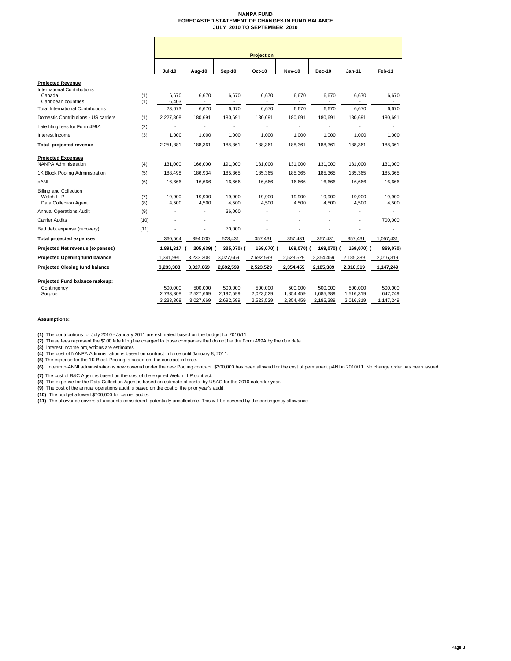### **NANPA FUND FORECASTED STATEMENT OF CHANGES IN FUND BALANCE JULY 2010 TO SEPTEMBER 2010**

|                                                                          |            | <b>Projection</b>    |                      |                      |                      |                      |                      |                      |                    |  |  |
|--------------------------------------------------------------------------|------------|----------------------|----------------------|----------------------|----------------------|----------------------|----------------------|----------------------|--------------------|--|--|
|                                                                          |            | <b>Jul-10</b>        | Aug-10               | <b>Sep-10</b>        | Oct-10               | <b>Nov-10</b>        | <b>Dec-10</b>        | Jan-11               | Feb-11             |  |  |
| <b>Projected Revenue</b><br><b>International Contributions</b><br>Canada | (1)        | 6,670                | 6,670                | 6,670                | 6,670                | 6,670                | 6,670                | 6,670                | 6,670              |  |  |
| Caribbean countries                                                      | (1)        | 16,403               |                      |                      |                      |                      |                      |                      |                    |  |  |
| <b>Total International Contributions</b>                                 |            | 23,073               | 6,670                | 6,670                | 6,670                | 6,670                | 6,670                | 6.670                | 6,670              |  |  |
| Domestic Contributions - US carriers                                     | (1)        | 2,227,808            | 180,691              | 180,691              | 180,691              | 180,691              | 180,691              | 180,691              | 180,691            |  |  |
| Late filing fees for Form 499A                                           | (2)        |                      |                      |                      |                      |                      |                      |                      |                    |  |  |
| Interest income                                                          | (3)        | 1,000                | 1,000                | 1,000                | 1,000                | 1,000                | 1,000                | 1,000                | 1,000              |  |  |
| Total projected revenue                                                  |            | 2,251,881            | 188,361              | 188,361              | 188,361              | 188,361              | 188,361              | 188,361              | 188,361            |  |  |
| <b>Projected Expenses</b><br><b>NANPA Administration</b>                 | (4)        | 131,000              | 166,000              | 191,000              | 131,000              | 131,000              | 131,000              | 131,000              | 131,000            |  |  |
| 1K Block Pooling Administration                                          | (5)        | 188,498              | 186,934              | 185,365              | 185,365              | 185,365              | 185,365              | 185,365              | 185,365            |  |  |
| pANI                                                                     | (6)        | 16,666               | 16,666               | 16,666               | 16,666               | 16,666               | 16,666               | 16,666               | 16,666             |  |  |
| <b>Billing and Collection</b><br>Welch LLP<br>Data Collection Agent      | (7)<br>(8) | 19,900<br>4,500      | 19,900<br>4,500      | 19,900<br>4,500      | 19,900<br>4,500      | 19,900<br>4,500      | 19,900<br>4.500      | 19,900<br>4,500      | 19,900<br>4,500    |  |  |
| <b>Annual Operations Audit</b>                                           | (9)        |                      |                      | 36.000               |                      |                      |                      |                      |                    |  |  |
| <b>Carrier Audits</b>                                                    | (10)       |                      |                      | $\ddot{\phantom{1}}$ |                      |                      |                      |                      | 700.000            |  |  |
| Bad debt expense (recovery)                                              | (11)       |                      |                      | 70.000               |                      |                      |                      |                      |                    |  |  |
| <b>Total projected expenses</b>                                          |            | 360,564              | 394,000              | 523,431              | 357,431              | 357,431              | 357,431              | 357,431              | 1,057,431          |  |  |
| Projected Net revenue (expenses)                                         |            | 1,891,317 (          | 205,639) (           | 335,070) (           | 169,070) (           | 169,070) (           | 169,070) (           | 169,070) (           | 869,070)           |  |  |
| Projected Opening fund balance                                           |            | 1,341,991            | 3,233,308            | 3,027,669            | 2,692,599            | 2,523,529            | 2,354,459            | 2,185,389            | 2,016,319          |  |  |
| <b>Projected Closing fund balance</b>                                    |            | 3,233,308            | 3,027,669            | 2,692,599            | 2,523,529            | 2,354,459            | 2,185,389            | 2,016,319            | 1,147,249          |  |  |
| Projected Fund balance makeup:<br>Contingency<br>Surplus                 |            | 500.000<br>2,733,308 | 500.000<br>2,527,669 | 500.000<br>2,192,599 | 500.000<br>2,023,529 | 500.000<br>1,854,459 | 500.000<br>1,685,389 | 500.000<br>1,516,319 | 500.000<br>647,249 |  |  |
|                                                                          |            | 3,233,308            | 3,027,669            | 2,692,599            | 2,523,529            | 2,354,459            | 2,185,389            | 2,016,319            | 1,147,249          |  |  |

**Assumptions:**

**(1)** The contributions for July 2010 - January 2011 are estimated based on the budget for 2010/11

(2) These fees represent the \$100 late filing fee charged to those companies that do not file the Form 499A by the due date.

**(3)** Interest income projections are estimates

**(4)** The cost of NANPA Administration is based on contract in force until January 8, 2011. **(5)** The expense for the 1K Block Pooling is based on the contract in force.

**(6)** Interim p-ANNI administration is now covered under the new Pooling contract. \$200,000 has been allowed for the cost of permanent pANI in 2010/11. No change order has been issued.

**(7)** The cost of B&C Agent is based on the cost of the expired Welch LLP contract.

**(8)** The expense for the Data Collection Agent is based on estimate of costs by USAC for the 2010 calendar year.<br>**(9)** The cost of the annual operations audit is based on the cost of the prior year's audit.

**(10)** The budget allowed \$700,000 for carrier audits. **(11)** The allowance covers all accounts considered potentially uncollectible. This will be covered by the contingency allowance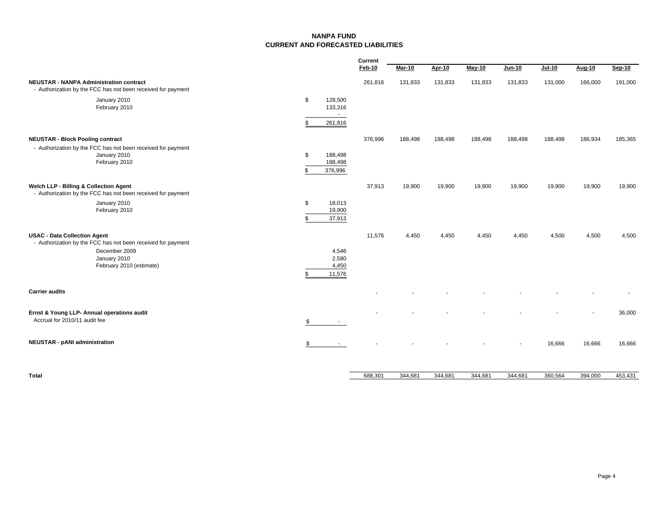### **NANPA FUNDCURRENT AND FORECASTED LIABILITIES**

|                                                                                                                                                                  |                                           | <b>Current</b> |         |         |         |               |               |         |         |
|------------------------------------------------------------------------------------------------------------------------------------------------------------------|-------------------------------------------|----------------|---------|---------|---------|---------------|---------------|---------|---------|
|                                                                                                                                                                  |                                           | Feb-10         | Mar-10  | Apr-10  | May-10  | <b>Jun-10</b> | <b>Jul-10</b> | Aug-10  | Sep-10  |
| <b>NEUSTAR - NANPA Administration contract</b><br>- Authorization by the FCC has not been received for payment                                                   |                                           | 261,816        | 131,833 | 131,833 | 131,833 | 131,833       | 131,000       | 166,000 | 191,000 |
| January 2010<br>February 2010                                                                                                                                    | \$<br>128,500<br>133,316<br>$\sim$        |                |         |         |         |               |               |         |         |
|                                                                                                                                                                  | 261,816<br>\$                             |                |         |         |         |               |               |         |         |
| <b>NEUSTAR - Block Pooling contract</b><br>- Authorization by the FCC has not been received for payment<br>January 2010<br>February 2010                         | \$<br>188,498<br>188,498<br>376,996<br>\$ | 376,996        | 188,498 | 188,498 | 188,498 | 188,498       | 188,498       | 186,934 | 185,365 |
| Welch LLP - Billing & Collection Agent<br>- Authorization by the FCC has not been received for payment                                                           |                                           | 37,913         | 19,900  | 19,900  | 19,900  | 19,900        | 19,900        | 19,900  | 19,900  |
| January 2010<br>February 2010                                                                                                                                    | \$<br>18,013<br>19,900<br>37,913<br>\$    |                |         |         |         |               |               |         |         |
| <b>USAC - Data Collection Agent</b><br>- Authorization by the FCC has not been received for payment<br>December 2009<br>January 2010<br>February 2010 (estimate) | 4,546<br>2,580<br>4,450<br>11,576<br>\$   | 11,576         | 4.450   | 4,450   | 4,450   | 4,450         | 4,500         | 4,500   | 4,500   |
| <b>Carrier audits</b>                                                                                                                                            |                                           |                |         |         |         |               |               |         |         |
| Ernst & Young LLP- Annual operations audit<br>Accrual for 2010/11 audit fee                                                                                      | \$<br>$\sim$ $-$                          |                |         |         |         |               |               |         | 36,000  |
| <b>NEUSTAR - pANI administration</b>                                                                                                                             | \$                                        |                |         |         |         |               | 16,666        | 16,666  | 16,666  |
|                                                                                                                                                                  |                                           |                |         |         |         |               |               |         |         |

**Total** 344,681 688,301 344,681 344,681 344,681 360,564 394,000 453,431